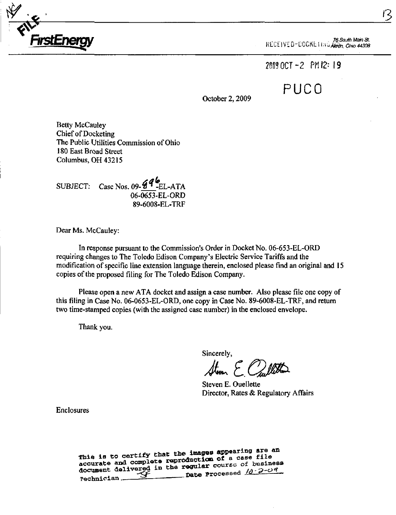

 $\sim$  ... $\sim$  76 South Main St. KLULIVL UTUUUNLI III UAANOM, Ohio 44308

2@0!OCT-2 PMI2: 19

PUCO

October 2,2009

Betty McCauley Chief of Docketing The Public Utilities Commission of Ohio 180 East Broad Street Columbus, OH 43215

SUBJECT: Case Nos. 09- $\overline{6}$ <sup>*q*</sup>  $_{\rm EL-ATA}^{\bullet}$ 06-0653-EL-ORD 89-6008-EL-TRF

Dear Ms. McCauley:

In response pursuant to the Commission's Order in Docket No. 06-653-EL-ORD requiring changes to The Toledo Edison Company's Electric Service Tariffs and the modification of specific line extension language therein, enclosed please find an original and 15 copies of the proposed filing for The Toledo Edison Company.

Please open a new ATA docket and assign a case number. Also please file one copy of this filing in Case No. 06-0653-EL-ORD, one copy in Case No. 89-6008-EL-TRF, and return two time-stamped copies (with the assigned case number) in the enclosed envelope.

Thank you.

Sincerely,

 $H_{\rm sum}$   $\epsilon$ 

Steven E. Ouellette Director, Rates & Regulatory Affairs

Enclosures

This is to certify that the images appearing are an<br>mis is to certify that the images appearing are file This is to certify that the images appearing into<br>accurate and complete reproduction of a case file<br>accurate and complete reproduction of a case file document delivered in the regular course of business<br>neghbiater of the Processed  $\frac{1}{d}$  -2-04 rechnician.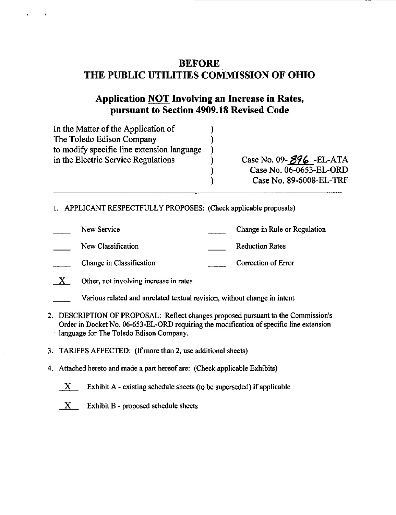# BEFORE THE PUBLIC UTILITIES COMMISSION OF OHIO

# Application NOT Involving an Increase in Rates, pursuant to Section 4909.18 Revised Code

| In the Matter of the Application of        |                                                 |
|--------------------------------------------|-------------------------------------------------|
| The Toledo Edison Company                  |                                                 |
| to modify specific line extension language |                                                 |
| in the Electric Service Regulations        | Case No. 09- $\mathcal{G}\mathcal{G}$ 6 -EL-ATA |
|                                            | Case No. 06-0653-EL-ORD                         |
|                                            | Case No. 89-6008-EL-TRF                         |

- 1. APPLICANT RESPECTFULLY PROPOSES: (Check applicable proposals)
- New Service Change in Rule or Regulation New Classification **Reduction** Reduction Rates Change in Classification Correction Correction of Error
- $X$  Other, not involving increase in rates
	- Various related and unrelated textual revision, without change in intent
- 2. DESCRIPTION OF PROPOSAL: Reflect changes proposed pursuant to the Commission's Order in Docket No. 06-653-EL-ORD requiring the modification of specific line extension language for The Toledo Edison Company.
- 3. TARIFFS AFFECTED: (If more than 2, use additional sheets)
- 4. Attached hereto and made a part hereof are: (Check applicable Exhibits)
	- $X$  Exhibit A existing schedule sheets (to be superseded) if applicable
	- $X$  Exhibit B proposed schedule sheets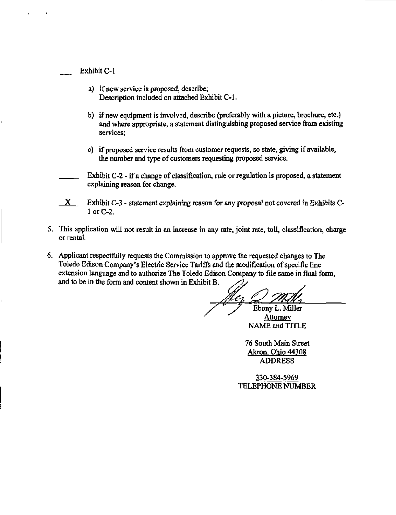Exhibit C-1

- a) if new service is proposed, describe; Description included on attached Exhibit C-1.
- b) if new equipment is involved, describe (preferably with a picture, brochure, etc.) and where appropriate, a statement distinguishing proposed service from existing services;
- c) if proposed service results from customer requests, so state, giving if available, the number and type of customers requesting proposed service.

Exhibit C-2 - if a change of classification, rule or regulation is proposed, a statement explaining reason for change,

- $X$  Exhibit C-3 statement explaining reason for any proposal not covered in Exhibits C-1 or C-2.
- 5. This application will not result in an increase in any rate, joint rate, toll, classification, charge or rental.
- 6. Applicant respectfully requests the Commission to approve the requested changes to The Toledo Edison Company's Electric Service Tariffs and the modification of specific line extension language and to authorize The Toledo Edison Company to file same in final form, and to be in the form and content shown in Exhibit B.

Ebony L. Miller

**Attorney** NAME and TITLE

76 South Main Street Akron. Ohio 44308 ADDRESS

330-384-5969 TELEPHONE NUMBER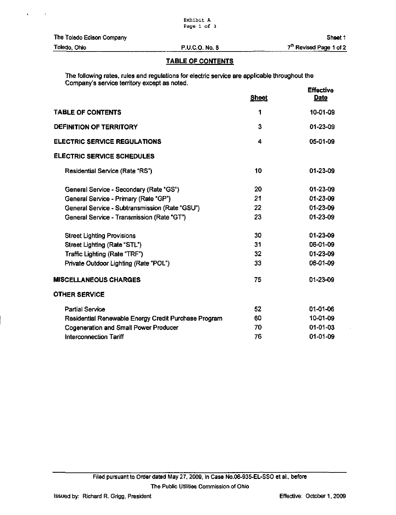## TABLE OF CONTENTS

 $E = E = E$ The following rates, rules and regulations for electric service are applicable throughout the Company's service territory except as noted.

|                                                      | <b>Sheet</b> | ENGLUYS<br>Date |
|------------------------------------------------------|--------------|-----------------|
| <b>TABLE OF CONTENTS</b>                             | 1            | 10-01-09        |
| <b>DEFINITION OF TERRITORY</b>                       | 3            | 01-23-09        |
| ELECTRIC SERVICE REGULATIONS                         | 4            | 05-01-09        |
| <b>ELECTRIC SERVICE SCHEDULES</b>                    |              |                 |
| Residential Service (Rate "RS")                      | 10           | 01-23-09        |
| General Service - Secondary (Rate "GS")              | 20           | 01-23-09        |
| General Service - Primary (Rate "GP")                | 21           | 01-23-09        |
| General Service - Subtransmission (Rate "GSU")       | 22           | 01-23-09        |
| General Service - Transmission (Rate "GT")           | 23           | $01 - 23 - 09$  |
| <b>Street Lighting Provisions</b>                    | 30           | $01 - 23 - 09$  |
| Street Lighting (Rate "STL")                         | 31           | 06-01-09        |
| Traffic Lighting (Rate "TRF")                        | 32           | 01-23-09        |
| Private Outdoor Lighting (Rate "POL")                | 33           | 06-01-09        |
| <b>MISCELLANEOUS CHARGES</b>                         | 75           | $01 - 23 - 09$  |
| <b>OTHER SERVICE</b>                                 |              |                 |
| Partial Service                                      | 52           | 01-01-06        |
| Residential Renewable Energy Credit Purchase Program | 60           | 10-01-09        |
| <b>Cogeneration and Small Power Producer</b>         | 70           | $01 - 01 - 03$  |
| Interconnection Tariff                               | 76           | 01-01-09        |

 $\ddot{\phantom{a}}$ 

 $\overline{\mathbf{a}}$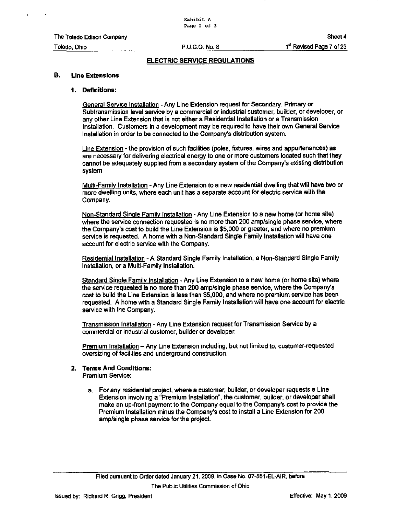#### B. Line Extensions

#### 1. Definitions:

General Service Installation - Any Line Extension request for Secondary, Primary or Subtransmission level service by a commercial or industrial customer, builder, or developer, or any other Line Extension that is not either a Residential Installation or a Transmission Installation. Customers in a development may be required to have their own General Service Installation in order to be connected to the Company's distribution system.

Line Extension - the provision of such facilities (poles, fixtures, wires and appurtenances) as are necessary for delivering electrical energy to one or more customers located such that they cannot be adequately supplied from a secondary system of the Company's existing distribution system.

Multi-Family Installation - Any Line Extension to a new residential dwelling that will have two or more dwelling units, where each unit has a separate account for electric sen/ice with the Company.

Non-Standard Single Family Installation - Any Line Extension to a new home (or home site) where the service connection requested is no more than 200 amp/single phase service, where the Company's cost to build the Line Extension is \$5,000 or greater, and where no premium service is requested. A home with a Non-Standard Single Family Installation will have one account for electric service with the Company.

Residential Installation - A Standard Single Family Installation, a Non-Standard Single Family Installation, or a Multi-Family Installation.

Standard Single Family Installation - Any Line Extension to a new home (or home site) where the service requested is no more than 200 amp/single phase service, where the Company's cost to build the Line Extension is less than \$5,000, and where no premium sen/ice has been requested. A home with a Standard Single Family Installation will have one account for electric service with the Company.

Transmission Installation - Any Line Extension request for Transmission Service by a commercial or industrial customer, builder or developer.

Premium Installation - Any Line Extension including, but not limited to, customer-requested oversizing of facilities and underground construction.

## 2. Terms And Conditions:

Premium Service:

a. For any residential project, where a customer, builder, or developer requests a Line Extension involving a "Premium Installation", the customer, builder, or developer shall make an up-front payment to the Company equal to the Company's cost to provide the Premium Installation minus the Company's cost to install a Line Extension for 200 amp/single phase service for the project.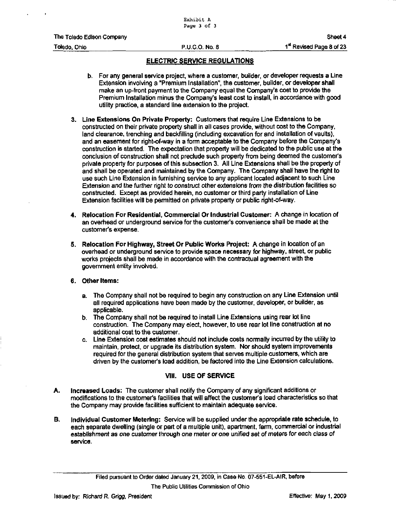- b. For any general service project, where a customer, builder, or developer requests a Line Extension involving a "Premium Installation", the customer, builder, or developer shall make an up-front payment to the Company equal the Company's cost to provide the Premium Installation minus the Company's least cost to install, in accordance with good utility practice, a standard line extension to the project.
- 3. Line Extensions On Private Property: Customers that require Line Extensions to be constructed on their private property shall in all cases provide, without cost to the Company, land clearance, trenching and backfilling (including excavation for and installation of vaults), and an easement for right-of-way in a form acceptable to the Company before the Company's construction is started. The expectation that property will be dedicated to the public use at the conclusion of construction shall not preclude such property from being deemed the customer's private property for purposes of this subsection 3. All Line Extensions shall be the property of and shall be operated and maintained by the Company. The Company shall have the right to use such Line Extension in furnishing service to any applicant located adjacent to such Line Extension and the further right to construct other extensions from the distribution facilities so constructed. Except as provided herein, no customer or third party installation of Line Extension facilities will be permitted on private property or public right-of-way.
- 4. Relocation For Residential, Commercial Or Industrial Customer: A change in location of an overhead or underground service for the customer's convenience shall be made at the customer's expense.
- 5. Relocation For Highway, Street Or Public Works Project: A change in location of an overhead or underground service to provide space necessary for highway, street, or public works projects shall be made in accordance with the contractual agreement with the government entity involved.

### 6. Other Items:

- a. The Company shall not be required to begin any construction on any Line Extension until all required applications have been made by the customer, developer, or builder, as applicable.
- b. The Company shall not be required to install Line Extensions using rear lot line construction. The Company may elect, however, to use rear lot line construction at no additional cost to the customer.
- c. Line Extension cost estimates should not include costs normally incurred by the utility to maintain, protect, or upgrade its distribution system. Nor should system improvements required for the general distribution system that serves multiple customers, which are driven by the customer's load addition, be factored into the Line Extension calculations.

## Vlll. USE OF SERVICE

- A. Increased Loads: The customer shall notify the Company of any significant additions or modifications to the customer's facilities that will affect the customer's load characteristics so that the Company may provide facilities sufficient to maintain adequate service.
- B. Individual Customer Metering: Service will be supplied under the appropriate rate schedule, to each separate dwelling (single or part of a multiple unit), apartment, fami, commercial or industrial establishment as one customer through one meter or one unified set of meters for each class of service.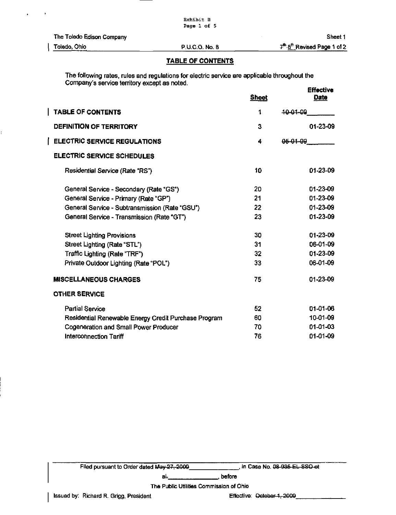### TABLE OF CONTENTS

The following rates, rules and regulations for electric service are applicable throughout the Company's service territory except as noted.

|                                                      | <b>Sheet</b> | <b>Effective</b><br><b>Date</b> |
|------------------------------------------------------|--------------|---------------------------------|
| <b>TABLE OF CONTENTS</b>                             | 1            | 10 01 09                        |
| <b>DEFINITION OF TERRITORY</b>                       | 3            | $01 - 23 - 09$                  |
| <b>ELECTRIC SERVICE REGULATIONS</b>                  | 4            | <del>05-01-09</del>             |
| <b>ELECTRIC SERVICE SCHEDULES</b>                    |              |                                 |
| Residential Service (Rate "RS")                      | 10           | 01-23-09                        |
| General Service - Secondary (Rate "GS")              | 20           | 01-23-09                        |
| General Service - Primary (Rate "GP")                | 21           | 01-23-09                        |
| General Service - Subtransmission (Rate "GSU")       | 22           | 01-23-09                        |
| General Service - Transmission (Rate "GT")           | 23           | 01-23-09                        |
| <b>Street Lighting Provisions</b>                    | 30           | 01-23-09                        |
| Street Lighting (Rate "STL")                         | 31           | 06-01-09                        |
| Traffic Lighting (Rate "TRF")                        | 32           | 01-23-09                        |
| Private Outdoor Lighting (Rate "POL")                | 33           | 06-01-09                        |
| <b>MISCELLANEOUS CHARGES</b>                         | 75           | 01-23-09                        |
| <b>OTHER SERVICE</b>                                 |              |                                 |
| <b>Partial Service</b>                               | 52           | 01-01-06                        |
| Residential Renewable Energy Credit Purchase Program | 60           | 10-01-09                        |
| <b>Cogeneration and Small Power Producer</b>         | 70           | $01 - 01 - 03$                  |
| Interconnection Tariff                               | 76           | 01-01-09                        |

Filed pursuant to Onder dated May 27. 200Q . in Case No. 08 935 EL SSO et

al<sub>7</sub> before , before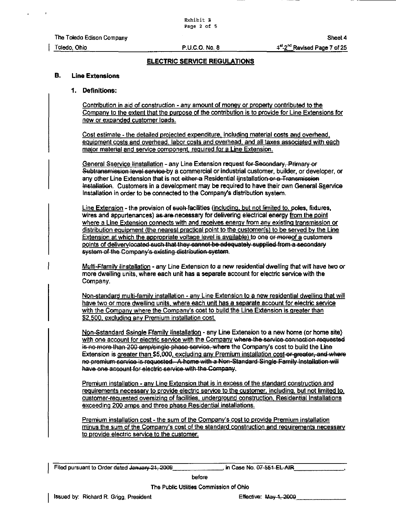#### B. Line Extensions

#### 1. Definitions:

Contribution in aid of construction - anv amount of money or property contributed to the Company to the extent that the purpose of the contribution is to provide for Line Extensions for new or expanded customer loads.

Cost estimate - the detailed projected expenditure, including material costs and overhead, equipment costs and overhead, labor costs and overhead, and all taxes associated with each maior material and service component, required for a Line Extension.

General Sservice linstallation - any Line Extension request for Secondary, Primary or Subtransmission level service by a commercial or industrial customer, builder, or developer, or any other Line Extension that is not either-a Residential linstallation or a Transmission Installation. Customers in a development may be required to have their own General Sservice Installation in order to be connected to the Company's distribution system.

Line Extension - the provision of such-facilities (including, but not limited to. poles, fixtures, wires and appurtenances) as are-necessary for delivering electrical energy from the point where a Line Extension connects with and receives energy from any existing transmission or distribution equipment (the nearest practical point to the customer(s) to be served by the Line Extension at which the appropriate voltage level is available) to one or moreof a customers points of delivery located cuch that they cannot be adequately supplied from a secondary system of the Company's existing distribution system.

Multi-Ffamily linstallation - any Line Extension to a new residential dwelling that will have two or more dwelling units, where each unit has a separate account for electric service with the Company.

Non-standard multi-family installation - anv Line Extension to a new residential dwelling that will have two or more dwelling units, where each unit has a separate account for electric service with the Company where the Company's cost to build the Line Extension is greater than \$2,500, excluding any Premium installation cost.

Non-Sstandard Ssingle Ffamily tinstallation - any Line Extension to a new home (or home site) with one account for electric service with the Company where the service connection requested is no more than 200 amp/single phase service, where the Company's cost to build the Line Extension is greater than \$5,000, excluding any Premium installation cost-or-greater, and where no premium corvico is requested. A home with a Non-Standard Single Family Installation will have one account for electric service with the Company.

Premium installation - any Line Extension that is in excess of the standard construction and requirements necessarv to provide electric service to the customer, including, but not limited to. customer-requested oversizing of facilities, underground construction. Residential Installations exceeding 200 amps and three phase Residential installations.

Premium installation cost - the sum of the Company's cost to provide Premium installation minus the sum of the Company's cost of the standard construction and requirements necessary to provide electric service to the customer.

Filed pursuant to Order dated January 21, 2009 [10] in Case No. 07-551 EL AIR

before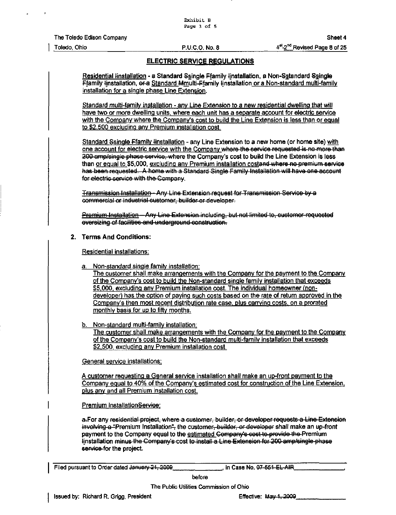Residential tinstallation - a Standard Ssingle Ffamily tinstallation, a Non-Sstandard Ssingle Ffamily linstallation, or a Standard Mmulti-Ffamily linstallation or a Non-standard multi-family installation for a single phase Line Extension.

Standard multi-family installation - anv Line Extension to a new residential dwelling that will have two or more dwelling units, where each unit has a separate account for electric service with the Company where the Company's cost to build the Line Extension is less than or egual to \$2,500 excluding any Premium installation cost.

Standard Ssingle Ffamily tinstallation - any Line Extension to a new home (or home site) with one account for electric service with the Company whore the cervioe reguested is no more than one account for electric service with the Company where the service requested is no more than<br>200 amp/single phase service, where the Company's cost to build the Line Extension is less than or equal to \$5,000, excluding any Premium installation costand where no premium service has been requested. A home with a Standard Single Family Installation will have one account for electric service with the Company.

Transmission Installation - Anv Line Extension request for Transmission Service bv a commercial or industrial customer, builder or developer.

Premium Installation—Any Line Extension including, but not limited to, customer-requeoted oversizing of faoilitioc and underground conotruction.

#### 2. Terms And Conditions:

Residential installations:

Non-standard single family installation:

The customer shall make arrangements with the Company for the payment to the Company of the Company's cost to build the Non-standard single family installation that exceeds \$5,000, excluding any Premium installation cost. The individual homeowner (nondeveloper) has the option of paving such costs based on the rate of return approved in the Company's then most recent distribution rate case, plus carrying costs, on a prorated monthly basis for up to fifty months.

b. Non-standard multi-family installation:

The customer shall make arrangements with the Company for the payment to the Company of the Company's cost to build the Non-standard multi-familv installation that exceeds \$2,500, excluding any Premium installation cost.

General service installations:

A customer requesting a General service installation shall make an up-front payment to the Company egual to 40% of the Company's estimated cost for construction of the Line Extension, plus anv and all Premium installation cost.

Premium installationService:

a-For any residential project, where a customer, builder, or developer requests a Line Extension involving a "Premium Installation", the customer, builder, or developer shall make an up-front payment to the Company equal to the estimated Company's cost to provide the Premium tinstallation minus the Company's cost te install a Line Extenoion for 200 amp/oingle phaso serviee-for the project.

I Filed pursuant to Order dated January 21. 2000 . in Case No. 07 551 EL AIR

before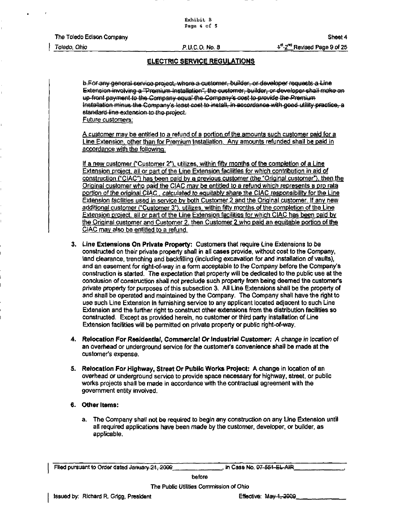Totedo. Ohio

RU.C.O. No. a

## ELECTRIC SERVICE REGULATIONS

b.FoF any general service project, where a customer, builder, or developer requests a Line Extension involving a "Premium Installation", the customer, builder, or developer shall moke on up front payment to the Company equal the Company's cost to provide the Premium tinstallation minus the Company's least cost to install, in accordance with good utility practice, a standard line extension to the project.

Future customers:

A customer mav be entitled to a refund of a portion of the amounts such customer paid for a Line Extension, other than for Premium Installation. Any amounts refunded shall be paid in accordance with the following:

If a new customer ("Customer 2"), utilizes, within fifty months of the completion of a Line Extension proiect. all or part of the Line Extension facilities for which contribution in aid of construction ("CIAC") has been paid bv a previous customer (the "Original customer"), then the Original customer who paid the CIAC may be entitled to a refund which represents a pro rata portion of the original CIAC, calculated to equitably share the CIAC responsibility for the Line **Extension facilities used in service by both Customer 2 and the Original customer. If any new** additional customer ("Customer 3"). utilizes, within fifty months of the completion of the Line Extension proiect. all or part of the Line Extension facilities for which CIAC has been paid by the Original customer and Customer 2, then Customer 2 who paid an equitable portion of the CIAC mav also be entitled to a refund.

- 3. Line Extensions On Private Property: Customers that require Line Extensions to be constructed on their private property shall in all cases provide, without cost to the Company, land clearance, trenching and backfilling (including excavation for and installation of vaults), and an easement for right-of-way in a fomi acceptable to the Company before the Company's construction is started. The expectation that property will be dedicated to the public use at the conclusion of construction shall not preclude such property from being deemed the customer's private property for purposes of this subsection 3. All Line Extensions shall be the property of and shall be operated and maintained by the Company. The Company shall have the right to use such Line Extension in furnishing service to any applicant located adjacent to such Line Extension and the further right to construct other extensions from the distribution facilities so constructed. Except as provided herein, no customer or third party installation of Line Extension facilities will be permitted on private property or public right-of-way.
- 4. Relocation For Residential, Commercial Or Industrial Customer: A change in location of an overhead or underground service for the customer's convenience shall be made at the customer's expense.
- 5. Relocation For Highway, Street Or Public Works Project: A change in location of an overhead or underground sen/ice to provide space necessary for highway, street, or public works projects shall be made in accordance with the contractual agreement with the government entity involved.

### 6. Other Items:

a. The Company shall not be required to begin any construction on any Line Extension until all required applications have been made by the customer, developer, or builder, as applicable.

Filed pursuant to Order dated January 21, 2009 , in Case No. 07-551-EL-AIR

before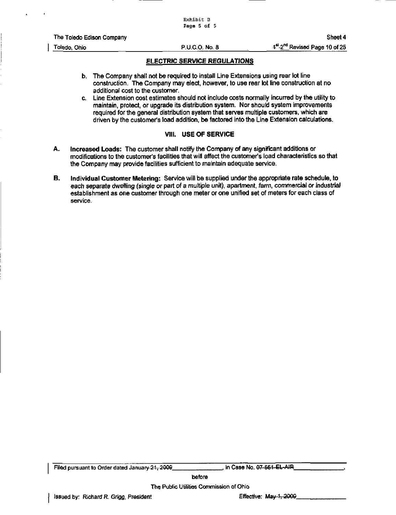| The Toledo Edison Company | Sheet 4 |
|---------------------------|---------|
|---------------------------|---------|

- b. The Company shall not be required to install Line Extensions using rear lot line construction. The Company may elect, however, to use rear lot line construction at no additional cost to the customer.
- c. Line Extension cost estimates should not include costs normally incurred by the utility to maintain, protect, or upgrade its distribution system. Nor should system improvements required for the general distribution system that serves multiple customers, which are driven by the customer's load addition, be factored into the Line Extension calculations.

#### VIIL USE OF SERVICE

- A. Increased Loads: The customer shall notify the Company of any significant additions or modifications to the customer's facilities that will affect the customer's load characteristics so that the Company may provide facilities sufficient to maintain adequate service.
- B. Individual Customer Metering: Service will be supplied under the appropriate rate schedule, to each separate dwelling (single or part of a multiple unit), apartment, farm, commercial or industrial establishment as one customer through one meter or one unified set of meters for each class of service.

Filed pursuant to Order dated January 21, 2009 . in Case No. 07 661 EL-AIR.

before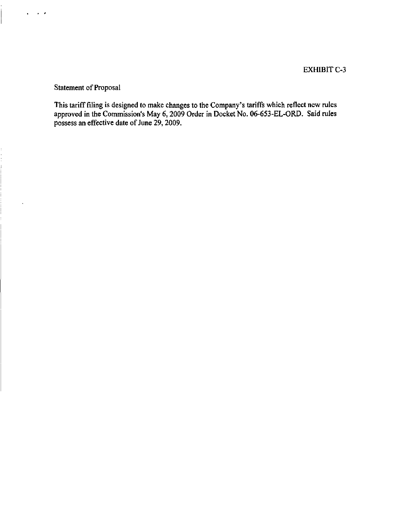Statement of Proposal

 $\sim$   $\sim$  $\blacksquare$ 

 $\ddot{\phantom{0}}$ 

This tariff filing is designed to make changes to the Company's tariffs which reflect new rules approved in the Commission's May 6,2009 Order in Docket No. 06-653-EL-ORD. Said rules possess an effective date of June 29, 2009.